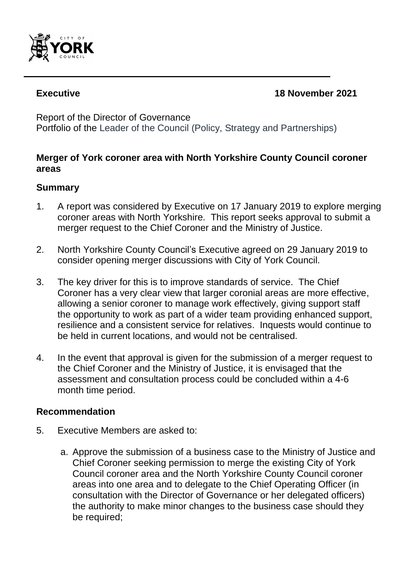

# **Executive 18 November 2021**

Report of the Director of Governance

Portfolio of the Leader of the Council (Policy, Strategy and Partnerships)

# **Merger of York coroner area with North Yorkshire County Council coroner areas**

## **Summary**

- 1. A report was considered by Executive on 17 January 2019 to explore merging coroner areas with North Yorkshire. This report seeks approval to submit a merger request to the Chief Coroner and the Ministry of Justice.
- 2. North Yorkshire County Council's Executive agreed on 29 January 2019 to consider opening merger discussions with City of York Council.
- 3. The key driver for this is to improve standards of service. The Chief Coroner has a very clear view that larger coronial areas are more effective, allowing a senior coroner to manage work effectively, giving support staff the opportunity to work as part of a wider team providing enhanced support, resilience and a consistent service for relatives. Inquests would continue to be held in current locations, and would not be centralised.
- 4. In the event that approval is given for the submission of a merger request to the Chief Coroner and the Ministry of Justice, it is envisaged that the assessment and consultation process could be concluded within a 4-6 month time period.

## **Recommendation**

- 5. Executive Members are asked to:
	- a. Approve the submission of a business case to the Ministry of Justice and Chief Coroner seeking permission to merge the existing City of York Council coroner area and the North Yorkshire County Council coroner areas into one area and to delegate to the Chief Operating Officer (in consultation with the Director of Governance or her delegated officers) the authority to make minor changes to the business case should they be required;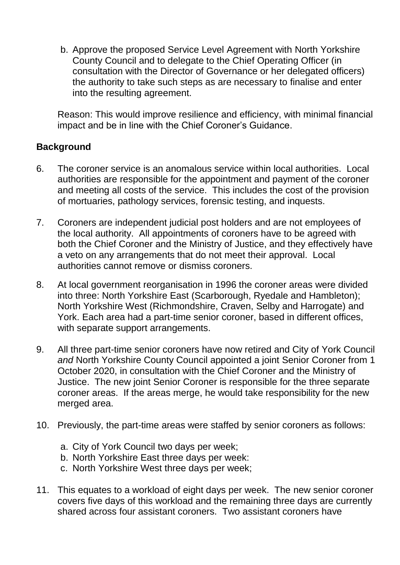b. Approve the proposed Service Level Agreement with North Yorkshire County Council and to delegate to the Chief Operating Officer (in consultation with the Director of Governance or her delegated officers) the authority to take such steps as are necessary to finalise and enter into the resulting agreement.

Reason: This would improve resilience and efficiency, with minimal financial impact and be in line with the Chief Coroner's Guidance.

# **Background**

- 6. The coroner service is an anomalous service within local authorities. Local authorities are responsible for the appointment and payment of the coroner and meeting all costs of the service. This includes the cost of the provision of mortuaries, pathology services, forensic testing, and inquests.
- 7. Coroners are independent judicial post holders and are not employees of the local authority. All appointments of coroners have to be agreed with both the Chief Coroner and the Ministry of Justice, and they effectively have a veto on any arrangements that do not meet their approval. Local authorities cannot remove or dismiss coroners.
- 8. At local government reorganisation in 1996 the coroner areas were divided into three: North Yorkshire East (Scarborough, Ryedale and Hambleton); North Yorkshire West (Richmondshire, Craven, Selby and Harrogate) and York. Each area had a part-time senior coroner, based in different offices, with separate support arrangements.
- 9. All three part-time senior coroners have now retired and City of York Council *and* North Yorkshire County Council appointed a joint Senior Coroner from 1 October 2020, in consultation with the Chief Coroner and the Ministry of Justice. The new joint Senior Coroner is responsible for the three separate coroner areas. If the areas merge, he would take responsibility for the new merged area.
- 10. Previously, the part-time areas were staffed by senior coroners as follows:
	- a. City of York Council two days per week;
	- b. North Yorkshire East three days per week:
	- c. North Yorkshire West three days per week;
- 11. This equates to a workload of eight days per week. The new senior coroner covers five days of this workload and the remaining three days are currently shared across four assistant coroners. Two assistant coroners have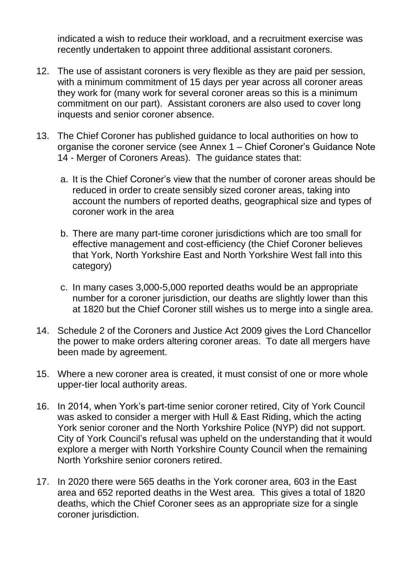indicated a wish to reduce their workload, and a recruitment exercise was recently undertaken to appoint three additional assistant coroners.

- 12. The use of assistant coroners is very flexible as they are paid per session, with a minimum commitment of 15 days per year across all coroner areas they work for (many work for several coroner areas so this is a minimum commitment on our part). Assistant coroners are also used to cover long inquests and senior coroner absence.
- 13. The Chief Coroner has published guidance to local authorities on how to organise the coroner service (see Annex 1 – Chief Coroner's Guidance Note 14 - Merger of Coroners Areas). The guidance states that:
	- a. It is the Chief Coroner's view that the number of coroner areas should be reduced in order to create sensibly sized coroner areas, taking into account the numbers of reported deaths, geographical size and types of coroner work in the area
	- b. There are many part-time coroner jurisdictions which are too small for effective management and cost-efficiency (the Chief Coroner believes that York, North Yorkshire East and North Yorkshire West fall into this category)
	- c. In many cases 3,000-5,000 reported deaths would be an appropriate number for a coroner jurisdiction, our deaths are slightly lower than this at 1820 but the Chief Coroner still wishes us to merge into a single area.
- 14. Schedule 2 of the Coroners and Justice Act 2009 gives the Lord Chancellor the power to make orders altering coroner areas. To date all mergers have been made by agreement.
- 15. Where a new coroner area is created, it must consist of one or more whole upper-tier local authority areas.
- 16. In 2014, when York's part-time senior coroner retired, City of York Council was asked to consider a merger with Hull & East Riding, which the acting York senior coroner and the North Yorkshire Police (NYP) did not support. City of York Council's refusal was upheld on the understanding that it would explore a merger with North Yorkshire County Council when the remaining North Yorkshire senior coroners retired.
- 17. In 2020 there were 565 deaths in the York coroner area, 603 in the East area and 652 reported deaths in the West area. This gives a total of 1820 deaths, which the Chief Coroner sees as an appropriate size for a single coroner jurisdiction.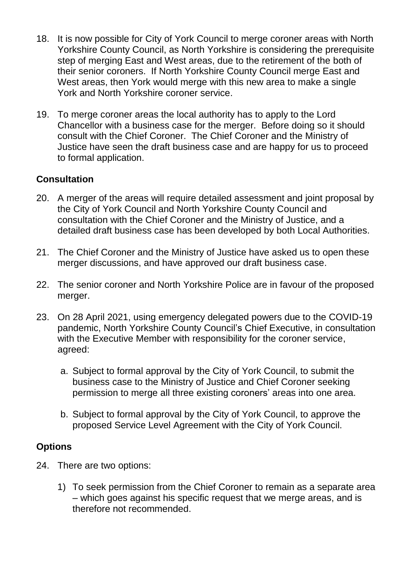- 18. It is now possible for City of York Council to merge coroner areas with North Yorkshire County Council, as North Yorkshire is considering the prerequisite step of merging East and West areas, due to the retirement of the both of their senior coroners. If North Yorkshire County Council merge East and West areas, then York would merge with this new area to make a single York and North Yorkshire coroner service.
- 19. To merge coroner areas the local authority has to apply to the Lord Chancellor with a business case for the merger. Before doing so it should consult with the Chief Coroner. The Chief Coroner and the Ministry of Justice have seen the draft business case and are happy for us to proceed to formal application.

# **Consultation**

- 20. A merger of the areas will require detailed assessment and joint proposal by the City of York Council and North Yorkshire County Council and consultation with the Chief Coroner and the Ministry of Justice, and a detailed draft business case has been developed by both Local Authorities.
- 21. The Chief Coroner and the Ministry of Justice have asked us to open these merger discussions, and have approved our draft business case.
- 22. The senior coroner and North Yorkshire Police are in favour of the proposed merger.
- 23. On 28 April 2021, using emergency delegated powers due to the COVID-19 pandemic, North Yorkshire County Council's Chief Executive, in consultation with the Executive Member with responsibility for the coroner service, agreed:
	- a. Subject to formal approval by the City of York Council, to submit the business case to the Ministry of Justice and Chief Coroner seeking permission to merge all three existing coroners' areas into one area.
	- b. Subject to formal approval by the City of York Council, to approve the proposed Service Level Agreement with the City of York Council.

## **Options**

- 24. There are two options:
	- 1) To seek permission from the Chief Coroner to remain as a separate area – which goes against his specific request that we merge areas, and is therefore not recommended.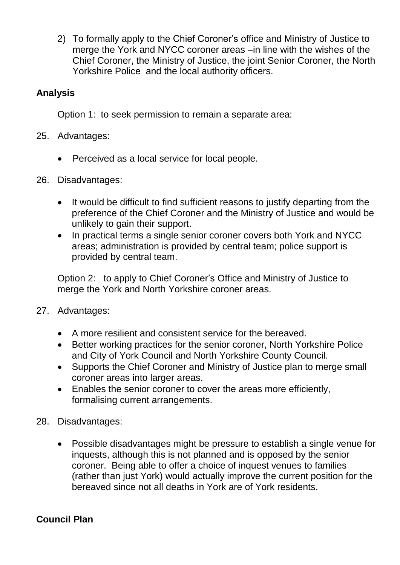2) To formally apply to the Chief Coroner's office and Ministry of Justice to merge the York and NYCC coroner areas –in line with the wishes of the Chief Coroner, the Ministry of Justice, the joint Senior Coroner, the North Yorkshire Police and the local authority officers.

# **Analysis**

Option 1: to seek permission to remain a separate area:

- 25. Advantages:
	- Perceived as a local service for local people.
- 26. Disadvantages:
	- It would be difficult to find sufficient reasons to justify departing from the preference of the Chief Coroner and the Ministry of Justice and would be unlikely to gain their support.
	- In practical terms a single senior coroner covers both York and NYCC areas; administration is provided by central team; police support is provided by central team.

Option 2: to apply to Chief Coroner's Office and Ministry of Justice to merge the York and North Yorkshire coroner areas.

- 27. Advantages:
	- A more resilient and consistent service for the bereaved.
	- Better working practices for the senior coroner, North Yorkshire Police and City of York Council and North Yorkshire County Council.
	- Supports the Chief Coroner and Ministry of Justice plan to merge small coroner areas into larger areas.
	- Enables the senior coroner to cover the areas more efficiently, formalising current arrangements.
- 28. Disadvantages:
	- Possible disadvantages might be pressure to establish a single venue for inquests, although this is not planned and is opposed by the senior coroner. Being able to offer a choice of inquest venues to families (rather than just York) would actually improve the current position for the bereaved since not all deaths in York are of York residents.

# **Council Plan**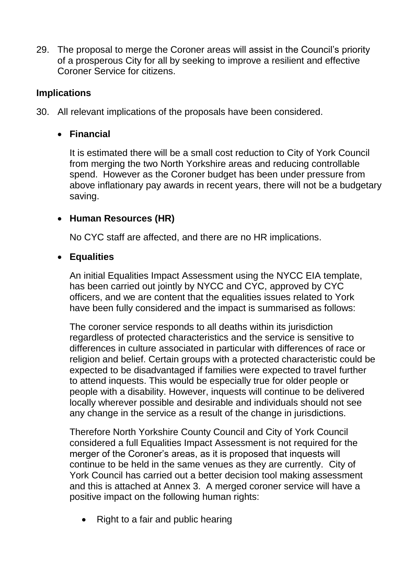29. The proposal to merge the Coroner areas will assist in the Council's priority of a prosperous City for all by seeking to improve a resilient and effective Coroner Service for citizens.

# **Implications**

30. All relevant implications of the proposals have been considered.

# **Financial**

It is estimated there will be a small cost reduction to City of York Council from merging the two North Yorkshire areas and reducing controllable spend. However as the Coroner budget has been under pressure from above inflationary pay awards in recent years, there will not be a budgetary saving.

# **Human Resources (HR)**

No CYC staff are affected, and there are no HR implications.

# **Equalities**

An initial Equalities Impact Assessment using the NYCC EIA template, has been carried out jointly by NYCC and CYC, approved by CYC officers, and we are content that the equalities issues related to York have been fully considered and the impact is summarised as follows:

The coroner service responds to all deaths within its jurisdiction regardless of protected characteristics and the service is sensitive to differences in culture associated in particular with differences of race or religion and belief. Certain groups with a protected characteristic could be expected to be disadvantaged if families were expected to travel further to attend inquests. This would be especially true for older people or people with a disability. However, inquests will continue to be delivered locally wherever possible and desirable and individuals should not see any change in the service as a result of the change in jurisdictions.

Therefore North Yorkshire County Council and City of York Council considered a full Equalities Impact Assessment is not required for the merger of the Coroner's areas, as it is proposed that inquests will continue to be held in the same venues as they are currently. City of York Council has carried out a better decision tool making assessment and this is attached at Annex 3. A merged coroner service will have a positive impact on the following human rights:

• Right to a fair and public hearing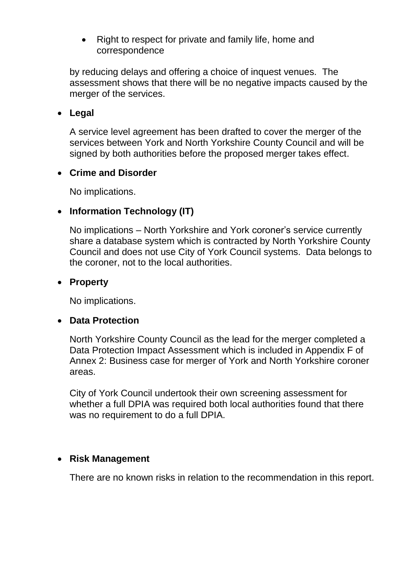• Right to respect for private and family life, home and correspondence

by reducing delays and offering a choice of inquest venues. The assessment shows that there will be no negative impacts caused by the merger of the services.

## **Legal**

A service level agreement has been drafted to cover the merger of the services between York and North Yorkshire County Council and will be signed by both authorities before the proposed merger takes effect.

# **Crime and Disorder**

No implications.

# **Information Technology (IT)**

No implications – North Yorkshire and York coroner's service currently share a database system which is contracted by North Yorkshire County Council and does not use City of York Council systems. Data belongs to the coroner, not to the local authorities.

#### **Property**

No implications.

## **Data Protection**

North Yorkshire County Council as the lead for the merger completed a Data Protection Impact Assessment which is included in Appendix F of Annex 2: Business case for merger of York and North Yorkshire coroner areas.

City of York Council undertook their own screening assessment for whether a full DPIA was required both local authorities found that there was no requirement to do a full DPIA.

## **Risk Management**

There are no known risks in relation to the recommendation in this report.